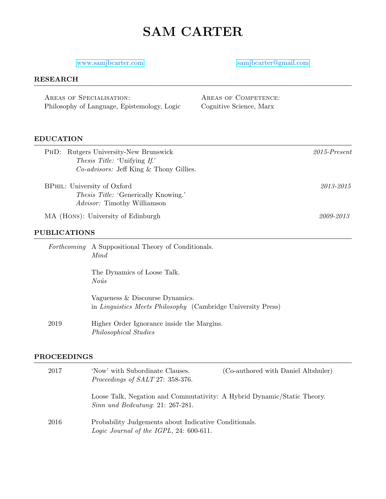# SAM CARTER

# <www.samjbcarter.com> [samjbcarter@gmail.com](mailto: samjbcarter@gmail.com)

### RESEARCH

| AREAS OF SPECIALISATION:                    | AREAS OF COMPETENCE:    |
|---------------------------------------------|-------------------------|
| Philosophy of Language, Epistemology, Logic | Cognitive Science, Marx |

# EDUCATION

|                             | PHD: Rutgers University-New Brunswick                               | $2015$ -Present |
|-----------------------------|---------------------------------------------------------------------|-----------------|
|                             | <i>Thesis Title:</i> 'Unifying If.'                                 |                 |
|                             | <i>Co-advisors:</i> Jeff King & Thony Gillies.                      |                 |
| BPHIL: University of Oxford |                                                                     | 2013-2015       |
|                             | <i>Thesis Title:</i> 'Generically Knowing.'                         |                 |
|                             | <i>Advisor:</i> Timothy Williamson                                  |                 |
|                             | MA (HONS): University of Edinburgh                                  | 2009-2013       |
| <b>PUBLICATIONS</b>         |                                                                     |                 |
|                             | <i>Forthcoming</i> A Suppositional Theory of Conditionals.          |                 |
|                             | Mind                                                                |                 |
|                             | The Dynamics of Loose Talk.                                         |                 |
|                             | Noûs                                                                |                 |
|                             | Vagueness & Discourse Dynamics.                                     |                 |
|                             | in <i>Linguistics Meets Philosophy</i> (Cambridge University Press) |                 |
| 2019                        | Higher Order Ignorance inside the Margins.                          |                 |

### PROCEEDINGS

Philosophical Studies

| 2017 | 'Now' with Subordinate Clauses.<br>Proceedings of SALT 27: 358-376.                                           | (Co-authored with Daniel Altshuler) |
|------|---------------------------------------------------------------------------------------------------------------|-------------------------------------|
|      | Loose Talk, Negation and Commutativity: A Hybrid Dynamic/Static Theory.<br>$Sinn$ und Bedeutung: 21: 267-281. |                                     |
| 2016 | Probability Judgements about Indicative Conditionals.<br>Logic Journal of the IGPL, 24: $600-611$ .           |                                     |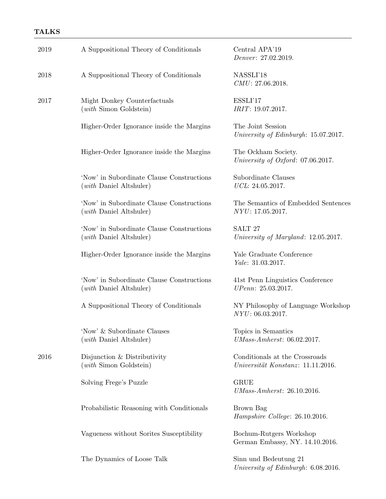# TALKS

| 2019 | A Suppositional Theory of Conditionals                               | Central APA'19<br>Denver: 27.02.2019.                               |
|------|----------------------------------------------------------------------|---------------------------------------------------------------------|
| 2018 | A Suppositional Theory of Conditionals                               | NASSLI'18<br>CMU: 27.06.2018.                                       |
| 2017 | Might Donkey Counterfactuals<br>$(with$ Simon Goldstein)             | ESSLI'17<br>IRIT: 19.07.2017.                                       |
|      | Higher-Order Ignorance inside the Margins                            | The Joint Session<br>University of Edinburgh: 15.07.2017.           |
|      | Higher-Order Ignorance inside the Margins                            | The Ockham Society.<br>University of Oxford: 07.06.2017.            |
|      | 'Now' in Subordinate Clause Constructions<br>(with Daniel Altshuler) | Subordinate Clauses<br>UCL: 24.05.2017.                             |
|      | 'Now' in Subordinate Clause Constructions<br>(with Daniel Altshuler) | The Semantics of Embedded Sentences<br>NYU: 17.05.2017.             |
|      | 'Now' in Subordinate Clause Constructions<br>(with Daniel Altshuler) | SALT <sub>27</sub><br>University of Maryland: 12.05.2017.           |
|      | Higher-Order Ignorance inside the Margins                            | Yale Graduate Conference<br>Yale: 31.03.2017.                       |
|      | 'Now' in Subordinate Clause Constructions<br>(with Daniel Altshuler) | 41st Penn Linguistics Conference<br>UPenn: 25.03.2017.              |
|      | A Suppositional Theory of Conditionals                               | NY Philosophy of Language Workshop<br>NYU: 06.03.2017.              |
|      | 'Now' & Subordinate Clauses<br>(with Daniel Altshuler)               | Topics in Semantics<br>$UMass-Amherst: 06.02.2017.$                 |
| 2016 | Disjunction & Distributivity<br>$(with$ Simon Goldstein)             | Conditionals at the Crossroads<br>Universität Konstanz: 11.11.2016. |
|      | Solving Frege's Puzzle                                               | <b>GRUE</b><br>UMass-Amherst: 26.10.2016.                           |
|      | Probabilistic Reasoning with Conditionals                            | Brown Bag<br>Hampshire College: 26.10.2016.                         |
|      | Vagueness without Sorites Susceptibility                             | Bochum-Rutgers Workshop<br>German Embassy, NY. 14.10.2016.          |
|      | The Dynamics of Loose Talk                                           | Sinn und Bedeutung 21<br>University of Edinburgh: 6.08.2016.        |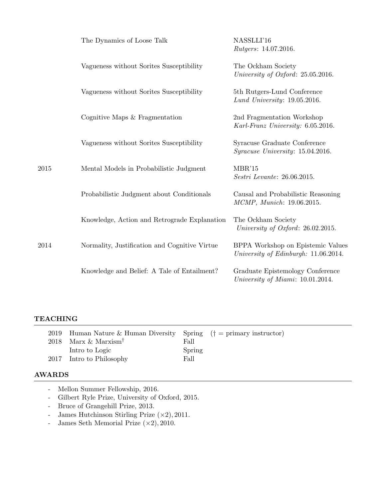|      | The Dynamics of Loose Talk                    | NASSLLI'16<br><i>Rutgers:</i> 14.07.2016.                                 |
|------|-----------------------------------------------|---------------------------------------------------------------------------|
|      | Vagueness without Sorites Susceptibility      | The Ockham Society<br>University of Oxford: 25.05.2016.                   |
|      | Vagueness without Sorites Susceptibility      | 5th Rutgers-Lund Conference<br>Lund University: $19.05.2016$ .            |
|      | Cognitive Maps $&$ Fragmentation              | 2nd Fragmentation Workshop<br>Karl-Franz University: 6.05.2016.           |
|      | Vagueness without Sorites Susceptibility      | Syracuse Graduate Conference<br><i>Syracuse University:</i> 15.04.2016.   |
| 2015 | Mental Models in Probabilistic Judgment       | MBR'15<br>Sestri Levante: 26.06.2015.                                     |
|      | Probabilistic Judgment about Conditionals     | Causal and Probabilistic Reasoning<br>MCMP, Munich: 19.06.2015.           |
|      | Knowledge, Action and Retrograde Explanation  | The Ockham Society<br>University of Oxford: 26.02.2015.                   |
| 2014 | Normality, Justification and Cognitive Virtue | BPPA Workshop on Epistemic Values<br>University of Edinburgh: 11.06.2014. |
|      | Knowledge and Belief: A Tale of Entailment?   | Graduate Epistemology Conference<br>University of Miami: 10.01.2014.      |

# TEACHING

| 2019 Human Nature & Human Diversity Spring $(†$ = primary instructor) |        |  |
|-----------------------------------------------------------------------|--------|--|
| 2018 Marx & Marxism <sup>†</sup>                                      | Fall   |  |
| Intro to Logic                                                        | Spring |  |
| 2017 Intro to Philosophy                                              | Fall   |  |

# AWARDS

- Mellon Summer Fellowship, 2016.
- Gilbert Ryle Prize, University of Oxford, 2015.
- Bruce of Grangehill Prize, 2013.
- James Hutchinson Stirling Prize (×2), 2011.
- James Seth Memorial Prize  $(\times 2)$ , 2010.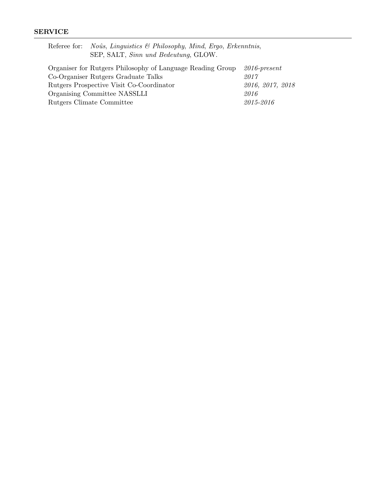# SERVICE

|                                                                               | Referee for: <i>Noûs</i> , <i>Linguistics</i> $\mathcal{B}$ <i>Philosophy, Mind, Ergo, Erkenntnis,</i><br>SEP, SALT, Sinn und Bedeutung, GLOW. |                  |
|-------------------------------------------------------------------------------|------------------------------------------------------------------------------------------------------------------------------------------------|------------------|
| Organiser for Rutgers Philosophy of Language Reading Group<br>$2016$ -present |                                                                                                                                                |                  |
| Co-Organiser Rutgers Graduate Talks                                           |                                                                                                                                                | 2017             |
| Rutgers Prospective Visit Co-Coordinator                                      |                                                                                                                                                | 2016, 2017, 2018 |
| Organising Committee NASSLLI                                                  |                                                                                                                                                | 2016             |
| Rutgers Climate Committee                                                     |                                                                                                                                                | 2015-2016        |